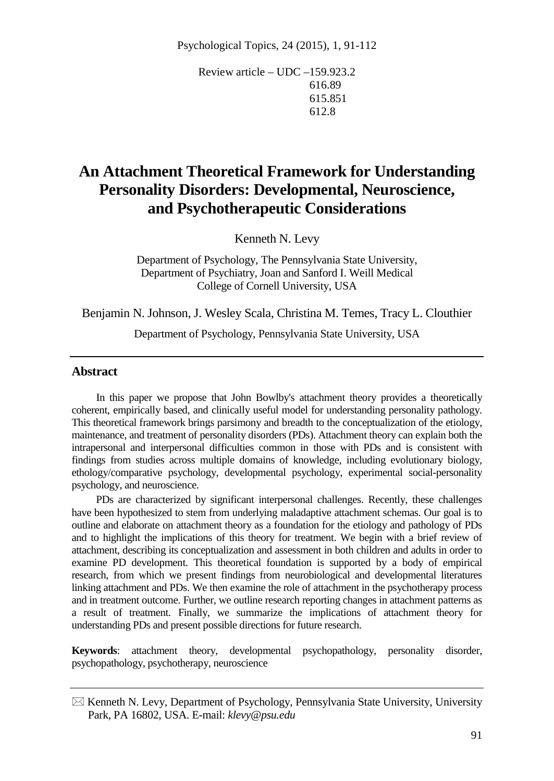Review article – UDC –159.923.2 616.89 615.851 612.8

# **An Attachment Theoretical Framework for Understanding Personality Disorders: Developmental, Neuroscience, and Psychotherapeutic Considerations**

Kenneth N. Levy

Department of Psychology, The Pennsylvania State University, Department of Psychiatry, Joan and Sanford I. Weill Medical College of Cornell University, USA

Benjamin N. Johnson, J. Wesley Scala, Christina M. Temes, Tracy L. Clouthier

Department of Psychology, Pennsylvania State University, USA

## **Abstract**

In this paper we propose that John Bowlby's attachment theory provides a theoretically coherent, empirically based, and clinically useful model for understanding personality pathology. This theoretical framework brings parsimony and breadth to the conceptualization of the etiology, maintenance, and treatment of personality disorders (PDs). Attachment theory can explain both the intrapersonal and interpersonal difficulties common in those with PDs and is consistent with findings from studies across multiple domains of knowledge, including evolutionary biology, ethology/comparative psychology, developmental psychology, experimental social-personality psychology, and neuroscience.

PDs are characterized by significant interpersonal challenges. Recently, these challenges have been hypothesized to stem from underlying maladaptive attachment schemas. Our goal is to outline and elaborate on attachment theory as a foundation for the etiology and pathology of PDs and to highlight the implications of this theory for treatment. We begin with a brief review of attachment, describing its conceptualization and assessment in both children and adults in order to examine PD development. This theoretical foundation is supported by a body of empirical research, from which we present findings from neurobiological and developmental literatures linking attachment and PDs. We then examine the role of attachment in the psychotherapy process and in treatment outcome. Further, we outline research reporting changes in attachment patterns as a result of treatment. Finally, we summarize the implications of attachment theory for understanding PDs and present possible directions for future research.

**Keywords**: attachment theory, developmental psychopathology, personality disorder, psychopathology, psychotherapy, neuroscience

 $\boxtimes$  Kenneth N. Levy, Department of Psychology, Pennsylvania State University, University Park, PA 16802, USA. E-mail: *klevy@psu.edu*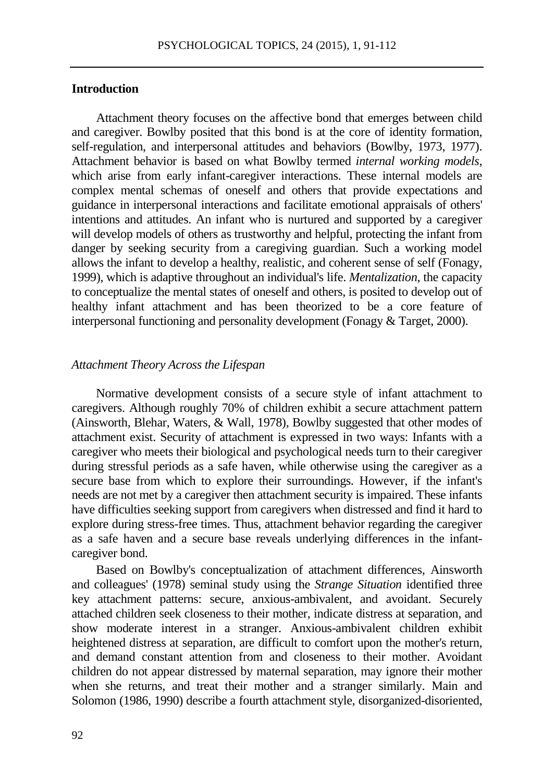# **Introduction**

Attachment theory focuses on the affective bond that emerges between child and caregiver. Bowlby posited that this bond is at the core of identity formation, self-regulation, and interpersonal attitudes and behaviors (Bowlby, 1973, 1977). Attachment behavior is based on what Bowlby termed *internal working models*, which arise from early infant-caregiver interactions. These internal models are complex mental schemas of oneself and others that provide expectations and guidance in interpersonal interactions and facilitate emotional appraisals of others' intentions and attitudes. An infant who is nurtured and supported by a caregiver will develop models of others as trustworthy and helpful, protecting the infant from danger by seeking security from a caregiving guardian. Such a working model allows the infant to develop a healthy, realistic, and coherent sense of self (Fonagy, 1999), which is adaptive throughout an individual's life. *Mentalization*, the capacity to conceptualize the mental states of oneself and others, is posited to develop out of healthy infant attachment and has been theorized to be a core feature of interpersonal functioning and personality development (Fonagy & Target, 2000).

#### *Attachment Theory Across the Lifespan*

Normative development consists of a secure style of infant attachment to caregivers. Although roughly 70% of children exhibit a secure attachment pattern (Ainsworth, Blehar, Waters, & Wall, 1978), Bowlby suggested that other modes of attachment exist. Security of attachment is expressed in two ways: Infants with a caregiver who meets their biological and psychological needs turn to their caregiver during stressful periods as a safe haven, while otherwise using the caregiver as a secure base from which to explore their surroundings. However, if the infant's needs are not met by a caregiver then attachment security is impaired. These infants have difficulties seeking support from caregivers when distressed and find it hard to explore during stress-free times. Thus, attachment behavior regarding the caregiver as a safe haven and a secure base reveals underlying differences in the infantcaregiver bond.

Based on Bowlby's conceptualization of attachment differences, Ainsworth and colleagues' (1978) seminal study using the *Strange Situation* identified three key attachment patterns: secure, anxious-ambivalent, and avoidant. Securely attached children seek closeness to their mother, indicate distress at separation, and show moderate interest in a stranger. Anxious-ambivalent children exhibit heightened distress at separation, are difficult to comfort upon the mother's return, and demand constant attention from and closeness to their mother. Avoidant children do not appear distressed by maternal separation, may ignore their mother when she returns, and treat their mother and a stranger similarly. Main and Solomon (1986, 1990) describe a fourth attachment style, disorganized-disoriented,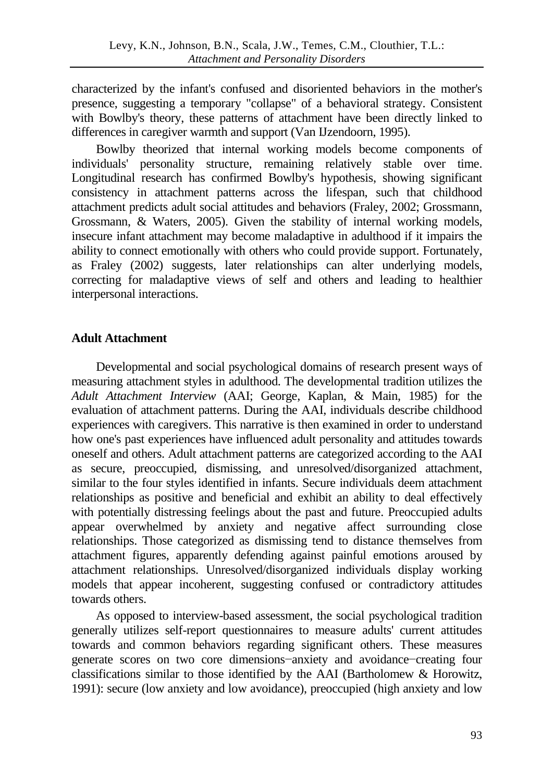characterized by the infant's confused and disoriented behaviors in the mother's presence, suggesting a temporary "collapse" of a behavioral strategy. Consistent with Bowlby's theory, these patterns of attachment have been directly linked to differences in caregiver warmth and support (Van IJzendoorn, 1995).

Bowlby theorized that internal working models become components of individuals' personality structure, remaining relatively stable over time. Longitudinal research has confirmed Bowlby's hypothesis, showing significant consistency in attachment patterns across the lifespan, such that childhood attachment predicts adult social attitudes and behaviors (Fraley, 2002; Grossmann, Grossmann, & Waters, 2005). Given the stability of internal working models, insecure infant attachment may become maladaptive in adulthood if it impairs the ability to connect emotionally with others who could provide support. Fortunately, as Fraley (2002) suggests, later relationships can alter underlying models, correcting for maladaptive views of self and others and leading to healthier interpersonal interactions.

# **Adult Attachment**

Developmental and social psychological domains of research present ways of measuring attachment styles in adulthood. The developmental tradition utilizes the *Adult Attachment Interview* (AAI; George, Kaplan, & Main, 1985) for the evaluation of attachment patterns. During the AAI, individuals describe childhood experiences with caregivers. This narrative is then examined in order to understand how one's past experiences have influenced adult personality and attitudes towards oneself and others. Adult attachment patterns are categorized according to the AAI as secure, preoccupied, dismissing, and unresolved/disorganized attachment, similar to the four styles identified in infants. Secure individuals deem attachment relationships as positive and beneficial and exhibit an ability to deal effectively with potentially distressing feelings about the past and future. Preoccupied adults appear overwhelmed by anxiety and negative affect surrounding close relationships. Those categorized as dismissing tend to distance themselves from attachment figures, apparently defending against painful emotions aroused by attachment relationships. Unresolved/disorganized individuals display working models that appear incoherent, suggesting confused or contradictory attitudes towards others.

As opposed to interview-based assessment, the social psychological tradition generally utilizes self-report questionnaires to measure adults' current attitudes towards and common behaviors regarding significant others. These measures generate scores on two core dimensions−anxiety and avoidance−creating four classifications similar to those identified by the AAI (Bartholomew & Horowitz, 1991): secure (low anxiety and low avoidance), preoccupied (high anxiety and low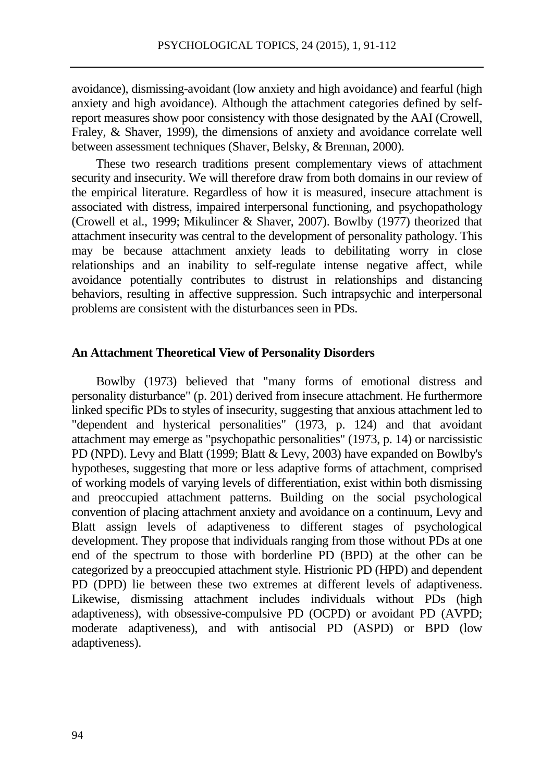avoidance), dismissing-avoidant (low anxiety and high avoidance) and fearful (high anxiety and high avoidance). Although the attachment categories defined by selfreport measures show poor consistency with those designated by the AAI (Crowell, Fraley, & Shaver, 1999), the dimensions of anxiety and avoidance correlate well between assessment techniques (Shaver, Belsky, & Brennan, 2000).

These two research traditions present complementary views of attachment security and insecurity. We will therefore draw from both domains in our review of the empirical literature. Regardless of how it is measured, insecure attachment is associated with distress, impaired interpersonal functioning, and psychopathology (Crowell et al., 1999; Mikulincer & Shaver, 2007). Bowlby (1977) theorized that attachment insecurity was central to the development of personality pathology. This may be because attachment anxiety leads to debilitating worry in close relationships and an inability to self-regulate intense negative affect, while avoidance potentially contributes to distrust in relationships and distancing behaviors, resulting in affective suppression. Such intrapsychic and interpersonal problems are consistent with the disturbances seen in PDs.

## **An Attachment Theoretical View of Personality Disorders**

Bowlby (1973) believed that "many forms of emotional distress and personality disturbance" (p. 201) derived from insecure attachment. He furthermore linked specific PDs to styles of insecurity, suggesting that anxious attachment led to "dependent and hysterical personalities" (1973, p. 124) and that avoidant attachment may emerge as "psychopathic personalities" (1973, p. 14) or narcissistic PD (NPD). Levy and Blatt (1999; Blatt & Levy, 2003) have expanded on Bowlby's hypotheses, suggesting that more or less adaptive forms of attachment, comprised of working models of varying levels of differentiation, exist within both dismissing and preoccupied attachment patterns. Building on the social psychological convention of placing attachment anxiety and avoidance on a continuum, Levy and Blatt assign levels of adaptiveness to different stages of psychological development. They propose that individuals ranging from those without PDs at one end of the spectrum to those with borderline PD (BPD) at the other can be categorized by a preoccupied attachment style. Histrionic PD (HPD) and dependent PD (DPD) lie between these two extremes at different levels of adaptiveness. Likewise, dismissing attachment includes individuals without PDs (high adaptiveness), with obsessive-compulsive PD (OCPD) or avoidant PD (AVPD; moderate adaptiveness), and with antisocial PD (ASPD) or BPD (low adaptiveness).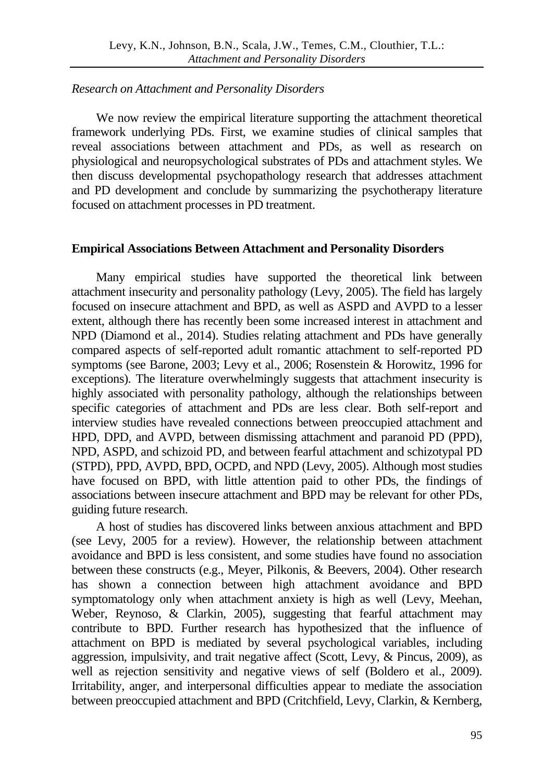# *Research on Attachment and Personality Disorders*

We now review the empirical literature supporting the attachment theoretical framework underlying PDs. First, we examine studies of clinical samples that reveal associations between attachment and PDs, as well as research on physiological and neuropsychological substrates of PDs and attachment styles. We then discuss developmental psychopathology research that addresses attachment and PD development and conclude by summarizing the psychotherapy literature focused on attachment processes in PD treatment.

# **Empirical Associations Between Attachment and Personality Disorders**

Many empirical studies have supported the theoretical link between attachment insecurity and personality pathology (Levy, 2005). The field has largely focused on insecure attachment and BPD, as well as ASPD and AVPD to a lesser extent, although there has recently been some increased interest in attachment and NPD (Diamond et al., 2014). Studies relating attachment and PDs have generally compared aspects of self-reported adult romantic attachment to self-reported PD symptoms (see Barone, 2003; Levy et al., 2006; Rosenstein & Horowitz, 1996 for exceptions). The literature overwhelmingly suggests that attachment insecurity is highly associated with personality pathology, although the relationships between specific categories of attachment and PDs are less clear. Both self-report and interview studies have revealed connections between preoccupied attachment and HPD, DPD, and AVPD, between dismissing attachment and paranoid PD (PPD), NPD, ASPD, and schizoid PD, and between fearful attachment and schizotypal PD (STPD), PPD, AVPD, BPD, OCPD, and NPD (Levy, 2005). Although most studies have focused on BPD, with little attention paid to other PDs, the findings of associations between insecure attachment and BPD may be relevant for other PDs, guiding future research.

A host of studies has discovered links between anxious attachment and BPD (see Levy, 2005 for a review). However, the relationship between attachment avoidance and BPD is less consistent, and some studies have found no association between these constructs (e.g., Meyer, Pilkonis, & Beevers, 2004). Other research has shown a connection between high attachment avoidance and BPD symptomatology only when attachment anxiety is high as well (Levy, Meehan, Weber, Reynoso, & Clarkin, 2005), suggesting that fearful attachment may contribute to BPD. Further research has hypothesized that the influence of attachment on BPD is mediated by several psychological variables, including aggression, impulsivity, and trait negative affect (Scott, Levy, & Pincus, 2009), as well as rejection sensitivity and negative views of self (Boldero et al., 2009). Irritability, anger, and interpersonal difficulties appear to mediate the association between preoccupied attachment and BPD (Critchfield, Levy, Clarkin, & Kernberg,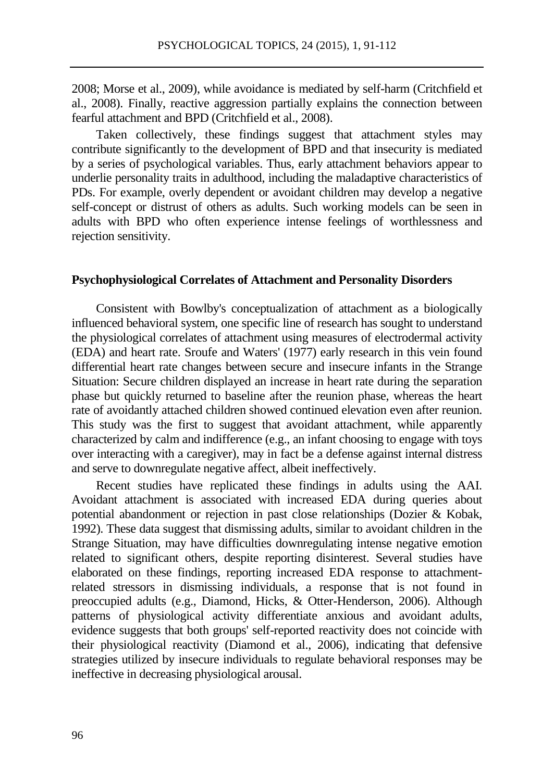2008; Morse et al., 2009), while avoidance is mediated by self-harm (Critchfield et al., 2008). Finally, reactive aggression partially explains the connection between fearful attachment and BPD (Critchfield et al., 2008).

Taken collectively, these findings suggest that attachment styles may contribute significantly to the development of BPD and that insecurity is mediated by a series of psychological variables. Thus, early attachment behaviors appear to underlie personality traits in adulthood, including the maladaptive characteristics of PDs. For example, overly dependent or avoidant children may develop a negative self-concept or distrust of others as adults. Such working models can be seen in adults with BPD who often experience intense feelings of worthlessness and rejection sensitivity.

## **Psychophysiological Correlates of Attachment and Personality Disorders**

Consistent with Bowlby's conceptualization of attachment as a biologically influenced behavioral system, one specific line of research has sought to understand the physiological correlates of attachment using measures of electrodermal activity (EDA) and heart rate. Sroufe and Waters' (1977) early research in this vein found differential heart rate changes between secure and insecure infants in the Strange Situation: Secure children displayed an increase in heart rate during the separation phase but quickly returned to baseline after the reunion phase, whereas the heart rate of avoidantly attached children showed continued elevation even after reunion. This study was the first to suggest that avoidant attachment, while apparently characterized by calm and indifference (e.g., an infant choosing to engage with toys over interacting with a caregiver), may in fact be a defense against internal distress and serve to downregulate negative affect, albeit ineffectively.

Recent studies have replicated these findings in adults using the AAI. Avoidant attachment is associated with increased EDA during queries about potential abandonment or rejection in past close relationships (Dozier & Kobak, 1992). These data suggest that dismissing adults, similar to avoidant children in the Strange Situation, may have difficulties downregulating intense negative emotion related to significant others, despite reporting disinterest. Several studies have elaborated on these findings, reporting increased EDA response to attachmentrelated stressors in dismissing individuals, a response that is not found in preoccupied adults (e.g., Diamond, Hicks, & Otter-Henderson, 2006). Although patterns of physiological activity differentiate anxious and avoidant adults, evidence suggests that both groups' self-reported reactivity does not coincide with their physiological reactivity (Diamond et al., 2006), indicating that defensive strategies utilized by insecure individuals to regulate behavioral responses may be ineffective in decreasing physiological arousal.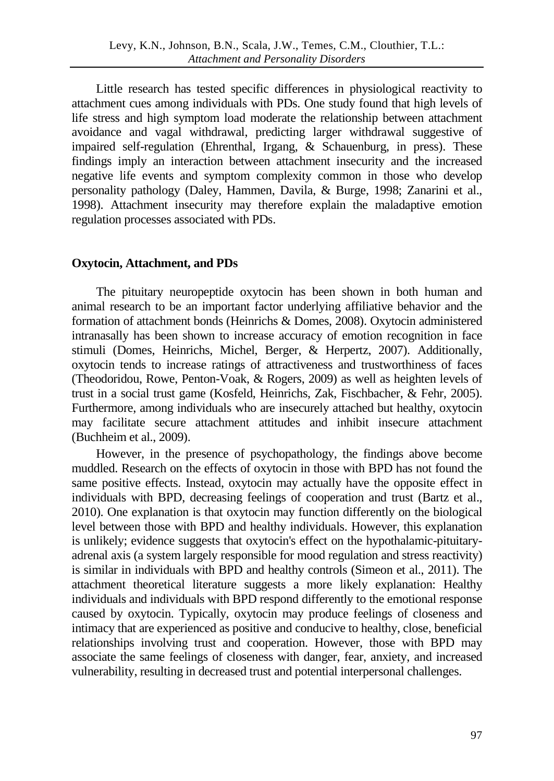Little research has tested specific differences in physiological reactivity to attachment cues among individuals with PDs. One study found that high levels of life stress and high symptom load moderate the relationship between attachment avoidance and vagal withdrawal, predicting larger withdrawal suggestive of impaired self-regulation (Ehrenthal, Irgang, & Schauenburg, in press). These findings imply an interaction between attachment insecurity and the increased negative life events and symptom complexity common in those who develop personality pathology (Daley, Hammen, Davila, & Burge, 1998; Zanarini et al., 1998). Attachment insecurity may therefore explain the maladaptive emotion regulation processes associated with PDs.

# **Oxytocin, Attachment, and PDs**

The pituitary neuropeptide oxytocin has been shown in both human and animal research to be an important factor underlying affiliative behavior and the formation of attachment bonds (Heinrichs & Domes, 2008). Oxytocin administered intranasally has been shown to increase accuracy of emotion recognition in face stimuli (Domes, Heinrichs, Michel, Berger, & Herpertz, 2007). Additionally, oxytocin tends to increase ratings of attractiveness and trustworthiness of faces (Theodoridou, Rowe, Penton-Voak, & Rogers, 2009) as well as heighten levels of trust in a social trust game (Kosfeld, Heinrichs, Zak, Fischbacher, & Fehr, 2005). Furthermore, among individuals who are insecurely attached but healthy, oxytocin may facilitate secure attachment attitudes and inhibit insecure attachment (Buchheim et al., 2009).

However, in the presence of psychopathology, the findings above become muddled. Research on the effects of oxytocin in those with BPD has not found the same positive effects. Instead, oxytocin may actually have the opposite effect in individuals with BPD, decreasing feelings of cooperation and trust (Bartz et al., 2010). One explanation is that oxytocin may function differently on the biological level between those with BPD and healthy individuals. However, this explanation is unlikely; evidence suggests that oxytocin's effect on the hypothalamic-pituitaryadrenal axis (a system largely responsible for mood regulation and stress reactivity) is similar in individuals with BPD and healthy controls (Simeon et al., 2011). The attachment theoretical literature suggests a more likely explanation: Healthy individuals and individuals with BPD respond differently to the emotional response caused by oxytocin. Typically, oxytocin may produce feelings of closeness and intimacy that are experienced as positive and conducive to healthy, close, beneficial relationships involving trust and cooperation. However, those with BPD may associate the same feelings of closeness with danger, fear, anxiety, and increased vulnerability, resulting in decreased trust and potential interpersonal challenges.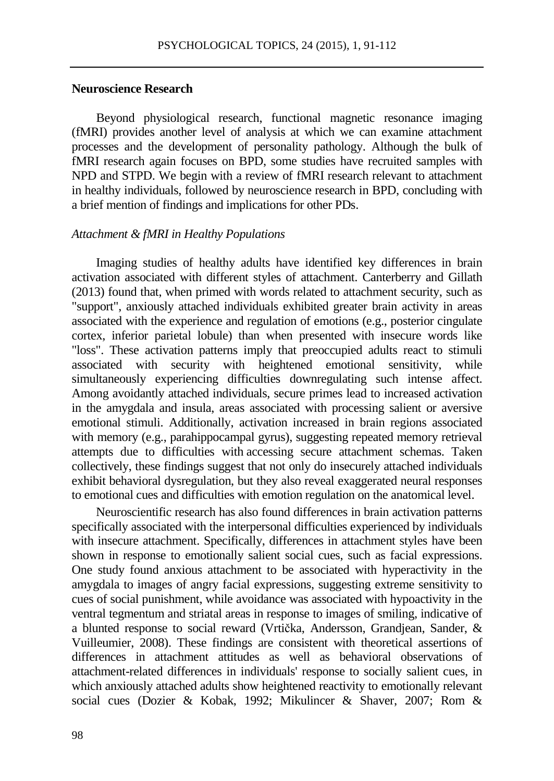## **Neuroscience Research**

Beyond physiological research, functional magnetic resonance imaging (fMRI) provides another level of analysis at which we can examine attachment processes and the development of personality pathology. Although the bulk of fMRI research again focuses on BPD, some studies have recruited samples with NPD and STPD. We begin with a review of fMRI research relevant to attachment in healthy individuals, followed by neuroscience research in BPD, concluding with a brief mention of findings and implications for other PDs.

## *Attachment & fMRI in Healthy Populations*

Imaging studies of healthy adults have identified key differences in brain activation associated with different styles of attachment. Canterberry and Gillath (2013) found that, when primed with words related to attachment security, such as "support", anxiously attached individuals exhibited greater brain activity in areas associated with the experience and regulation of emotions (e.g., posterior cingulate cortex, inferior parietal lobule) than when presented with insecure words like "loss". These activation patterns imply that preoccupied adults react to stimuli associated with security with heightened emotional sensitivity, while simultaneously experiencing difficulties downregulating such intense affect. Among avoidantly attached individuals, secure primes lead to increased activation in the amygdala and insula, areas associated with processing salient or aversive emotional stimuli. Additionally, activation increased in brain regions associated with memory (e.g., parahippocampal gyrus), suggesting repeated memory retrieval attempts due to difficulties with accessing secure attachment schemas. Taken collectively, these findings suggest that not only do insecurely attached individuals exhibit behavioral dysregulation, but they also reveal exaggerated neural responses to emotional cues and difficulties with emotion regulation on the anatomical level.

Neuroscientific research has also found differences in brain activation patterns specifically associated with the interpersonal difficulties experienced by individuals with insecure attachment. Specifically, differences in attachment styles have been shown in response to emotionally salient social cues, such as facial expressions. One study found anxious attachment to be associated with hyperactivity in the amygdala to images of angry facial expressions, suggesting extreme sensitivity to cues of social punishment, while avoidance was associated with hypoactivity in the ventral tegmentum and striatal areas in response to images of smiling, indicative of a blunted response to social reward (Vrtička, Andersson, Grandjean, Sander, & Vuilleumier, 2008). These findings are consistent with theoretical assertions of differences in attachment attitudes as well as behavioral observations of attachment-related differences in individuals' response to socially salient cues, in which anxiously attached adults show heightened reactivity to emotionally relevant social cues (Dozier & Kobak, 1992; Mikulincer & Shaver, 2007; Rom &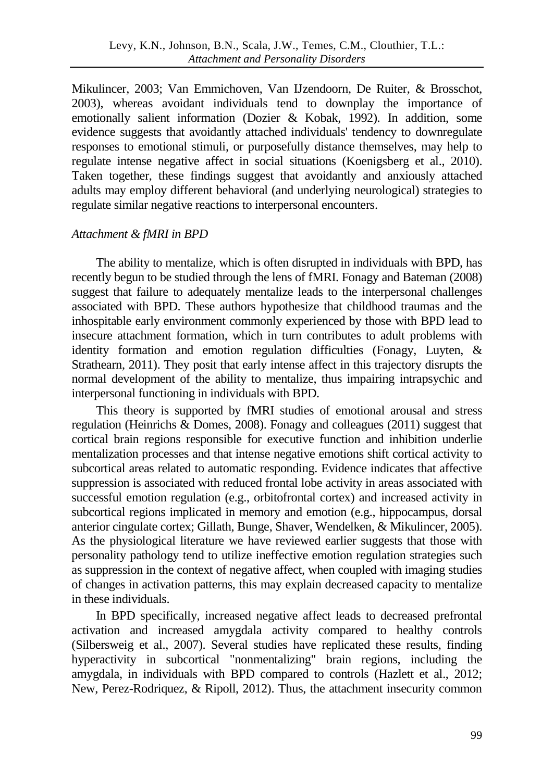Mikulincer, 2003; Van Emmichoven, Van IJzendoorn, De Ruiter, & Brosschot, 2003), whereas avoidant individuals tend to downplay the importance of emotionally salient information (Dozier & Kobak, 1992). In addition, some evidence suggests that avoidantly attached individuals' tendency to downregulate responses to emotional stimuli, or purposefully distance themselves, may help to regulate intense negative affect in social situations (Koenigsberg et al., 2010). Taken together, these findings suggest that avoidantly and anxiously attached adults may employ different behavioral (and underlying neurological) strategies to regulate similar negative reactions to interpersonal encounters.

## *Attachment & fMRI in BPD*

The ability to mentalize, which is often disrupted in individuals with BPD, has recently begun to be studied through the lens of fMRI. Fonagy and Bateman (2008) suggest that failure to adequately mentalize leads to the interpersonal challenges associated with BPD. These authors hypothesize that childhood traumas and the inhospitable early environment commonly experienced by those with BPD lead to insecure attachment formation, which in turn contributes to adult problems with identity formation and emotion regulation difficulties (Fonagy, Luyten, & Strathearn, 2011). They posit that early intense affect in this trajectory disrupts the normal development of the ability to mentalize, thus impairing intrapsychic and interpersonal functioning in individuals with BPD.

This theory is supported by fMRI studies of emotional arousal and stress regulation (Heinrichs & Domes, 2008). Fonagy and colleagues (2011) suggest that cortical brain regions responsible for executive function and inhibition underlie mentalization processes and that intense negative emotions shift cortical activity to subcortical areas related to automatic responding. Evidence indicates that affective suppression is associated with reduced frontal lobe activity in areas associated with successful emotion regulation (e.g., orbitofrontal cortex) and increased activity in subcortical regions implicated in memory and emotion (e.g., hippocampus, dorsal anterior cingulate cortex; Gillath, Bunge, Shaver, Wendelken, & Mikulincer, 2005). As the physiological literature we have reviewed earlier suggests that those with personality pathology tend to utilize ineffective emotion regulation strategies such as suppression in the context of negative affect, when coupled with imaging studies of changes in activation patterns, this may explain decreased capacity to mentalize in these individuals.

In BPD specifically, increased negative affect leads to decreased prefrontal activation and increased amygdala activity compared to healthy controls (Silbersweig et al., 2007). Several studies have replicated these results, finding hyperactivity in subcortical "nonmentalizing" brain regions, including the amygdala, in individuals with BPD compared to controls (Hazlett et al., 2012; New, Perez-Rodriquez, & Ripoll, 2012). Thus, the attachment insecurity common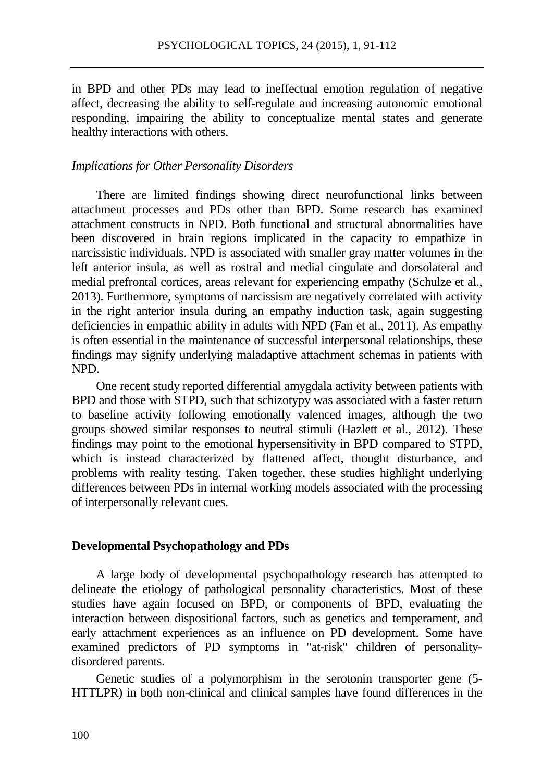in BPD and other PDs may lead to ineffectual emotion regulation of negative affect, decreasing the ability to self-regulate and increasing autonomic emotional responding, impairing the ability to conceptualize mental states and generate healthy interactions with others.

## *Implications for Other Personality Disorders*

There are limited findings showing direct neurofunctional links between attachment processes and PDs other than BPD. Some research has examined attachment constructs in NPD. Both functional and structural abnormalities have been discovered in brain regions implicated in the capacity to empathize in narcissistic individuals. NPD is associated with smaller gray matter volumes in the left anterior insula, as well as rostral and medial cingulate and dorsolateral and medial prefrontal cortices, areas relevant for experiencing empathy (Schulze et al., 2013). Furthermore, symptoms of narcissism are negatively correlated with activity in the right anterior insula during an empathy induction task, again suggesting deficiencies in empathic ability in adults with NPD (Fan et al., 2011). As empathy is often essential in the maintenance of successful interpersonal relationships, these findings may signify underlying maladaptive attachment schemas in patients with NPD.

One recent study reported differential amygdala activity between patients with BPD and those with STPD, such that schizotypy was associated with a faster return to baseline activity following emotionally valenced images, although the two groups showed similar responses to neutral stimuli (Hazlett et al., 2012). These findings may point to the emotional hypersensitivity in BPD compared to STPD, which is instead characterized by flattened affect, thought disturbance, and problems with reality testing. Taken together, these studies highlight underlying differences between PDs in internal working models associated with the processing of interpersonally relevant cues.

#### **Developmental Psychopathology and PDs**

A large body of developmental psychopathology research has attempted to delineate the etiology of pathological personality characteristics. Most of these studies have again focused on BPD, or components of BPD, evaluating the interaction between dispositional factors, such as genetics and temperament, and early attachment experiences as an influence on PD development. Some have examined predictors of PD symptoms in "at-risk" children of personalitydisordered parents.

Genetic studies of a polymorphism in the serotonin transporter gene (5- HTTLPR) in both non-clinical and clinical samples have found differences in the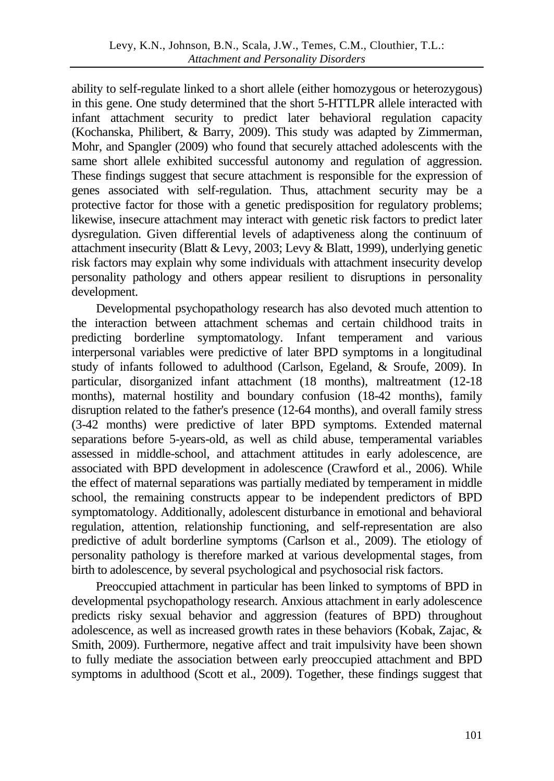ability to self-regulate linked to a short allele (either homozygous or heterozygous) in this gene. One study determined that the short 5-HTTLPR allele interacted with infant attachment security to predict later behavioral regulation capacity (Kochanska, Philibert, & Barry, 2009). This study was adapted by Zimmerman, Mohr, and Spangler (2009) who found that securely attached adolescents with the same short allele exhibited successful autonomy and regulation of aggression. These findings suggest that secure attachment is responsible for the expression of genes associated with self-regulation. Thus, attachment security may be a protective factor for those with a genetic predisposition for regulatory problems; likewise, insecure attachment may interact with genetic risk factors to predict later dysregulation. Given differential levels of adaptiveness along the continuum of attachment insecurity (Blatt & Levy, 2003; Levy & Blatt, 1999), underlying genetic risk factors may explain why some individuals with attachment insecurity develop personality pathology and others appear resilient to disruptions in personality development.

Developmental psychopathology research has also devoted much attention to the interaction between attachment schemas and certain childhood traits in predicting borderline symptomatology. Infant temperament and various interpersonal variables were predictive of later BPD symptoms in a longitudinal study of infants followed to adulthood (Carlson, Egeland, & Sroufe, 2009). In particular, disorganized infant attachment (18 months), maltreatment (12-18 months), maternal hostility and boundary confusion (18-42 months), family disruption related to the father's presence (12-64 months), and overall family stress (3-42 months) were predictive of later BPD symptoms. Extended maternal separations before 5-years-old, as well as child abuse, temperamental variables assessed in middle-school, and attachment attitudes in early adolescence, are associated with BPD development in adolescence (Crawford et al., 2006). While the effect of maternal separations was partially mediated by temperament in middle school, the remaining constructs appear to be independent predictors of BPD symptomatology. Additionally, adolescent disturbance in emotional and behavioral regulation, attention, relationship functioning, and self-representation are also predictive of adult borderline symptoms (Carlson et al., 2009). The etiology of personality pathology is therefore marked at various developmental stages, from birth to adolescence, by several psychological and psychosocial risk factors.

Preoccupied attachment in particular has been linked to symptoms of BPD in developmental psychopathology research. Anxious attachment in early adolescence predicts risky sexual behavior and aggression (features of BPD) throughout adolescence, as well as increased growth rates in these behaviors (Kobak, Zajac, & Smith, 2009). Furthermore, negative affect and trait impulsivity have been shown to fully mediate the association between early preoccupied attachment and BPD symptoms in adulthood (Scott et al., 2009). Together, these findings suggest that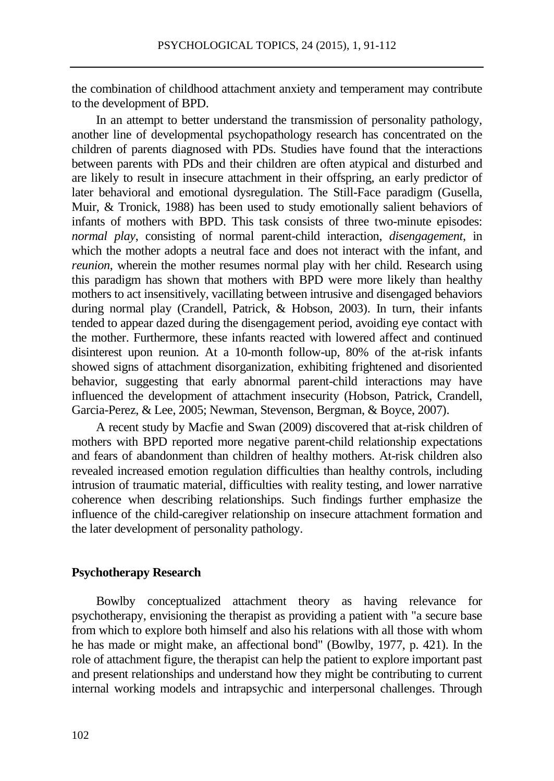the combination of childhood attachment anxiety and temperament may contribute to the development of BPD.

In an attempt to better understand the transmission of personality pathology, another line of developmental psychopathology research has concentrated on the children of parents diagnosed with PDs. Studies have found that the interactions between parents with PDs and their children are often atypical and disturbed and are likely to result in insecure attachment in their offspring, an early predictor of later behavioral and emotional dysregulation. The Still-Face paradigm (Gusella, Muir, & Tronick, 1988) has been used to study emotionally salient behaviors of infants of mothers with BPD. This task consists of three two-minute episodes: *normal play*, consisting of normal parent-child interaction, *disengagement*, in which the mother adopts a neutral face and does not interact with the infant, and *reunion*, wherein the mother resumes normal play with her child. Research using this paradigm has shown that mothers with BPD were more likely than healthy mothers to act insensitively, vacillating between intrusive and disengaged behaviors during normal play (Crandell, Patrick, & Hobson, 2003). In turn, their infants tended to appear dazed during the disengagement period, avoiding eye contact with the mother. Furthermore, these infants reacted with lowered affect and continued disinterest upon reunion. At a 10-month follow-up, 80% of the at-risk infants showed signs of attachment disorganization, exhibiting frightened and disoriented behavior, suggesting that early abnormal parent-child interactions may have influenced the development of attachment insecurity (Hobson, Patrick, Crandell, Garcia-Perez, & Lee, 2005; Newman, Stevenson, Bergman, & Boyce, 2007).

A recent study by Macfie and Swan (2009) discovered that at-risk children of mothers with BPD reported more negative parent-child relationship expectations and fears of abandonment than children of healthy mothers. At-risk children also revealed increased emotion regulation difficulties than healthy controls, including intrusion of traumatic material, difficulties with reality testing, and lower narrative coherence when describing relationships. Such findings further emphasize the influence of the child-caregiver relationship on insecure attachment formation and the later development of personality pathology.

## **Psychotherapy Research**

Bowlby conceptualized attachment theory as having relevance for psychotherapy, envisioning the therapist as providing a patient with "a secure base from which to explore both himself and also his relations with all those with whom he has made or might make, an affectional bond" (Bowlby, 1977, p. 421). In the role of attachment figure, the therapist can help the patient to explore important past and present relationships and understand how they might be contributing to current internal working models and intrapsychic and interpersonal challenges. Through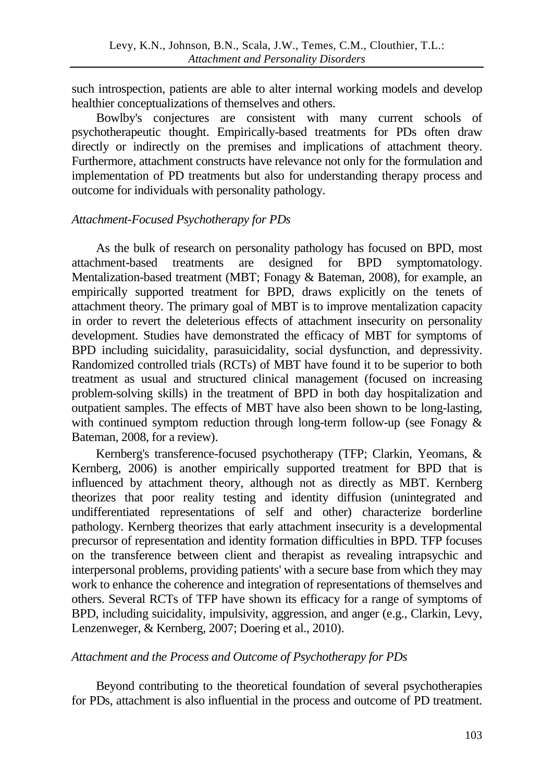such introspection, patients are able to alter internal working models and develop healthier conceptualizations of themselves and others.

Bowlby's conjectures are consistent with many current schools of psychotherapeutic thought. Empirically-based treatments for PDs often draw directly or indirectly on the premises and implications of attachment theory. Furthermore, attachment constructs have relevance not only for the formulation and implementation of PD treatments but also for understanding therapy process and outcome for individuals with personality pathology.

## *Attachment-Focused Psychotherapy for PDs*

As the bulk of research on personality pathology has focused on BPD, most<br>hment-based treatments are designed for BPD symptomatology. attachment-based treatments are designed for BPD symptomatology. Mentalization-based treatment (MBT; Fonagy & Bateman, 2008), for example, an empirically supported treatment for BPD, draws explicitly on the tenets of attachment theory. The primary goal of MBT is to improve mentalization capacity in order to revert the deleterious effects of attachment insecurity on personality development. Studies have demonstrated the efficacy of MBT for symptoms of BPD including suicidality, parasuicidality, social dysfunction, and depressivity. Randomized controlled trials (RCTs) of MBT have found it to be superior to both treatment as usual and structured clinical management (focused on increasing problem-solving skills) in the treatment of BPD in both day hospitalization and outpatient samples. The effects of MBT have also been shown to be long-lasting, with continued symptom reduction through long-term follow-up (see Fonagy  $\&$ Bateman, 2008, for a review).

Kernberg's transference-focused psychotherapy (TFP; Clarkin, Yeomans, & Kernberg, 2006) is another empirically supported treatment for BPD that is influenced by attachment theory, although not as directly as MBT. Kernberg theorizes that poor reality testing and identity diffusion (unintegrated and undifferentiated representations of self and other) characterize borderline pathology. Kernberg theorizes that early attachment insecurity is a developmental precursor of representation and identity formation difficulties in BPD. TFP focuses on the transference between client and therapist as revealing intrapsychic and interpersonal problems, providing patients' with a secure base from which they may work to enhance the coherence and integration of representations of themselves and others. Several RCTs of TFP have shown its efficacy for a range of symptoms of BPD, including suicidality, impulsivity, aggression, and anger (e.g., Clarkin, Levy, Lenzenweger, & Kernberg, 2007; Doering et al., 2010).

# *Attachment and the Process and Outcome of Psychotherapy for PDs*

Beyond contributing to the theoretical foundation of several psychotherapies for PDs, attachment is also influential in the process and outcome of PD treatment.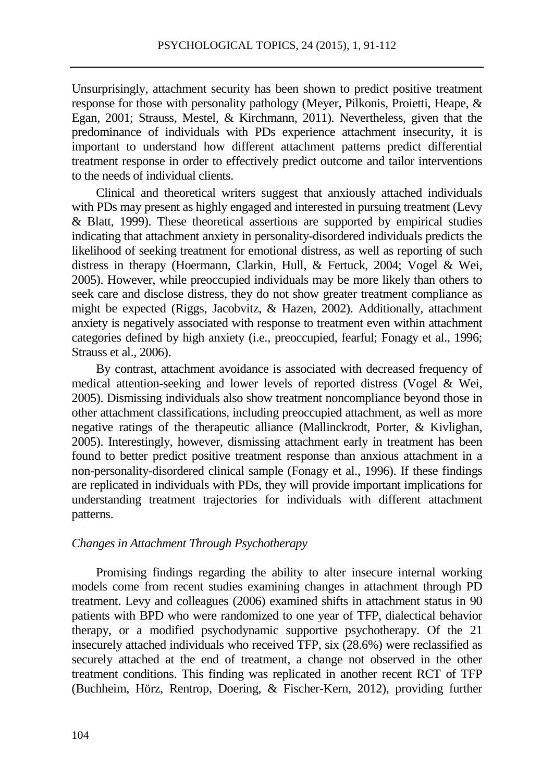Unsurprisingly, attachment security has been shown to predict positive treatment response for those with personality pathology (Meyer, Pilkonis, Proietti, Heape, & Egan, 2001; Strauss, Mestel, & Kirchmann, 2011). Nevertheless, given that the predominance of individuals with PDs experience attachment insecurity, it is important to understand how different attachment patterns predict differential treatment response in order to effectively predict outcome and tailor interventions to the needs of individual clients.

Clinical and theoretical writers suggest that anxiously attached individuals with PDs may present as highly engaged and interested in pursuing treatment (Levy  $\&$  Blatt, 1999). These theoretical assertions are supported by empirical studies indicating that attachment anxiety in personality-disordered individuals predicts the likelihood of seeking treatment for emotional distress, as well as reporting of such distress in therapy (Hoermann, Clarkin, Hull, & Fertuck, 2004; Vogel & Wei, 2005). However, while preoccupied individuals may be more likely than others to seek care and disclose distress, they do not show greater treatment compliance as might be expected (Riggs, Jacobvitz, & Hazen, 2002). Additionally, attachment anxiety is negatively associated with response to treatment even within attachment categories defined by high anxiety (i.e., preoccupied, fearful; Fonagy et al., 1996; Strauss et al., 2006).

By contrast, attachment avoidance is associated with decreased frequency of medical attention-seeking and lower levels of reported distress (Vogel & Wei, 2005). Dismissing individuals also show treatment noncompliance beyond those in other attachment classifications, including preoccupied attachment, as well as more negative ratings of the therapeutic alliance (Mallinckrodt, Porter, & Kivlighan, 2005). Interestingly, however, dismissing attachment early in treatment has been found to better predict positive treatment response than anxious attachment in a non-personality-disordered clinical sample (Fonagy et al., 1996). If these findings are replicated in individuals with PDs, they will provide important implications for understanding treatment trajectories for individuals with different attachment patterns.

## *Changes in Attachment Through Psychotherapy*

Promising findings regarding the ability to alter insecure internal working models come from recent studies examining changes in attachment through PD treatment. Levy and colleagues (2006) examined shifts in attachment status in 90 patients with BPD who were randomized to one year of TFP, dialectical behavior therapy, or a modified psychodynamic supportive psychotherapy. Of the 21 insecurely attached individuals who received TFP, six (28.6%) were reclassified as securely attached at the end of treatment, a change not observed in the other treatment conditions. This finding was replicated in another recent RCT of TFP (Buchheim, Hörz, Rentrop, Doering, & Fischer-Kern, 2012), providing further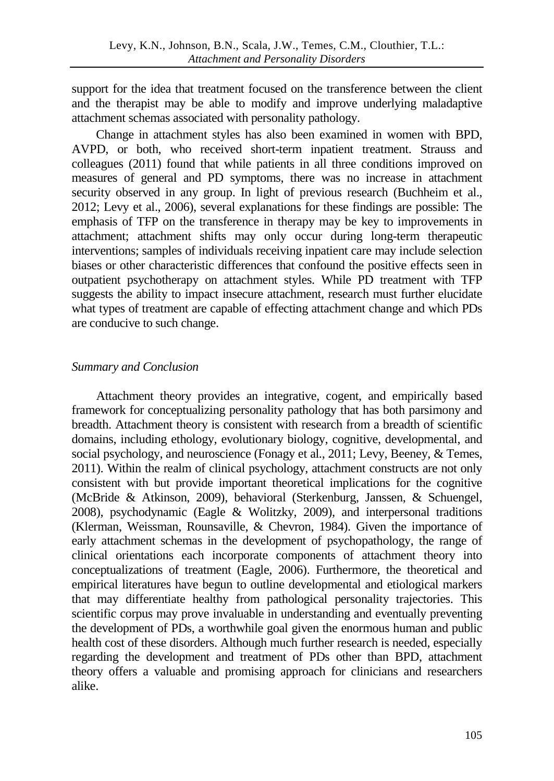support for the idea that treatment focused on the transference between the client and the therapist may be able to modify and improve underlying maladaptive attachment schemas associated with personality pathology.

Change in attachment styles has also been examined in women with BPD, AVPD, or both, who received short-term inpatient treatment. Strauss and colleagues (2011) found that while patients in all three conditions improved on measures of general and PD symptoms, there was no increase in attachment security observed in any group. In light of previous research (Buchheim et al., 2012; Levy et al., 2006), several explanations for these findings are possible: The emphasis of TFP on the transference in therapy may be key to improvements in attachment; attachment shifts may only occur during long-term therapeutic interventions; samples of individuals receiving inpatient care may include selection biases or other characteristic differences that confound the positive effects seen in outpatient psychotherapy on attachment styles. While PD treatment with TFP suggests the ability to impact insecure attachment, research must further elucidate what types of treatment are capable of effecting attachment change and which PDs are conducive to such change.

# *Summary and Conclusion*

Attachment theory provides an integrative, cogent, and empirically based framework for conceptualizing personality pathology that has both parsimony and breadth. Attachment theory is consistent with research from a breadth of scientific domains, including ethology, evolutionary biology, cognitive, developmental, and social psychology, and neuroscience (Fonagy et al., 2011; Levy, Beeney, & Temes, 2011). Within the realm of clinical psychology, attachment constructs are not only consistent with but provide important theoretical implications for the cognitive (McBride & Atkinson, 2009), behavioral (Sterkenburg, Janssen, & Schuengel, 2008), psychodynamic (Eagle & Wolitzky, 2009), and interpersonal traditions (Klerman, Weissman, Rounsaville, & Chevron, 1984). Given the importance of early attachment schemas in the development of psychopathology, the range of clinical orientations each incorporate components of attachment theory into conceptualizations of treatment (Eagle, 2006). Furthermore, the theoretical and empirical literatures have begun to outline developmental and etiological markers that may differentiate healthy from pathological personality trajectories. This scientific corpus may prove invaluable in understanding and eventually preventing the development of PDs, a worthwhile goal given the enormous human and public health cost of these disorders. Although much further research is needed, especially regarding the development and treatment of PDs other than BPD, attachment theory offers a valuable and promising approach for clinicians and researchers alike.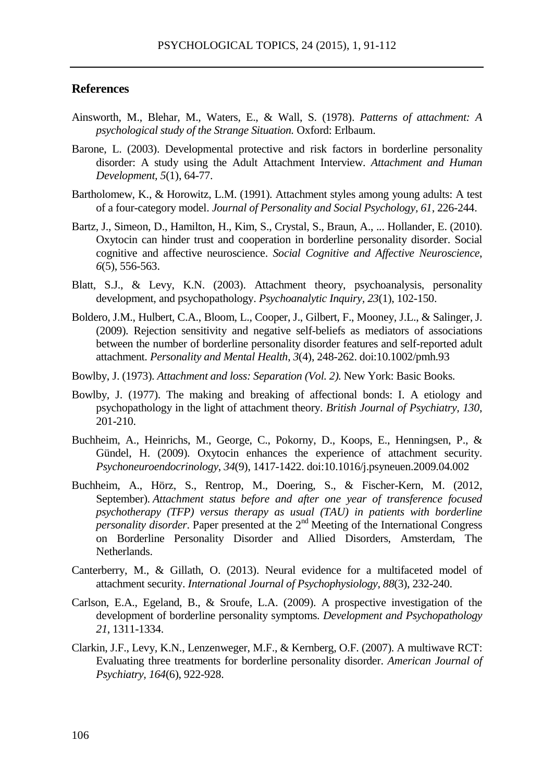## **References**

- Ainsworth, M., Blehar, M., Waters, E., & Wall, S. (1978). *Patterns of attachment: A psychological study of the Strange Situation.* Oxford: Erlbaum.
- Barone, L. (2003). Developmental protective and risk factors in borderline personality disorder: A study using the Adult Attachment Interview. *Attachment and Human Development, 5*(1), 64-77.
- Bartholomew, K., & Horowitz, L.M. (1991). Attachment styles among young adults: A test of a four-category model. *Journal of Personality and Social Psychology, 61*, 226-244.
- Bartz, J., Simeon, D., Hamilton, H., Kim, S., Crystal, S., Braun, A., ... Hollander, E. (2010). Oxytocin can hinder trust and cooperation in borderline personality disorder. Social cognitive and affective neuroscience. *Social Cognitive and Affective Neuroscience*, *6*(5), 556-563.
- Blatt, S.J., & Levy, K.N. (2003). Attachment theory, psychoanalysis, personality development, and psychopathology. *Psychoanalytic Inquiry, 23*(1), 102-150.
- Boldero, J.M., Hulbert, C.A., Bloom, L., Cooper, J., Gilbert, F., Mooney, J.L., & Salinger, J. (2009). Rejection sensitivity and negative self-beliefs as mediators of associations between the number of borderline personality disorder features and self-reported adult attachment. *Personality and Mental Health*, *3*(4), 248-262. doi:10.1002/pmh.93
- Bowlby, J. (1973). *Attachment and loss: Separation (Vol. 2).* New York: Basic Books.
- Bowlby, J. (1977). The making and breaking of affectional bonds: I. A etiology and psychopathology in the light of attachment theory. *British Journal of Psychiatry, 130*, 201-210.
- Buchheim, A., Heinrichs, M., George, C., Pokorny, D., Koops, E., Henningsen, P., & Gündel, H. (2009). Oxytocin enhances the experience of attachment security. *Psychoneuroendocrinology*, *34*(9), 1417-1422. doi:10.1016/j.psyneuen.2009.04.002
- Buchheim, A., Hörz, S., Rentrop, M., Doering, S., & Fischer-Kern, M. (2012, September). *Attachment status before and after one year of transference focused psychotherapy (TFP) versus therapy as usual (TAU) in patients with borderline personality disorder*. Paper presented at the 2<sup>nd</sup> Meeting of the International Congress on Borderline Personality Disorder and Allied Disorders, Amsterdam, The Netherlands.
- Canterberry, M., & Gillath, O. (2013). Neural evidence for a multifaceted model of attachment security. *International Journal of Psychophysiology, 88*(3), 232-240.
- Carlson, E.A., Egeland, B., & Sroufe, L.A. (2009). A prospective investigation of the development of borderline personality symptoms. *Development and Psychopathology 21*, 1311-1334.
- Clarkin, J.F., Levy, K.N., Lenzenweger, M.F., & Kernberg, O.F. (2007). A multiwave RCT: Evaluating three treatments for borderline personality disorder. *American Journal of Psychiatry, 164*(6), 922-928.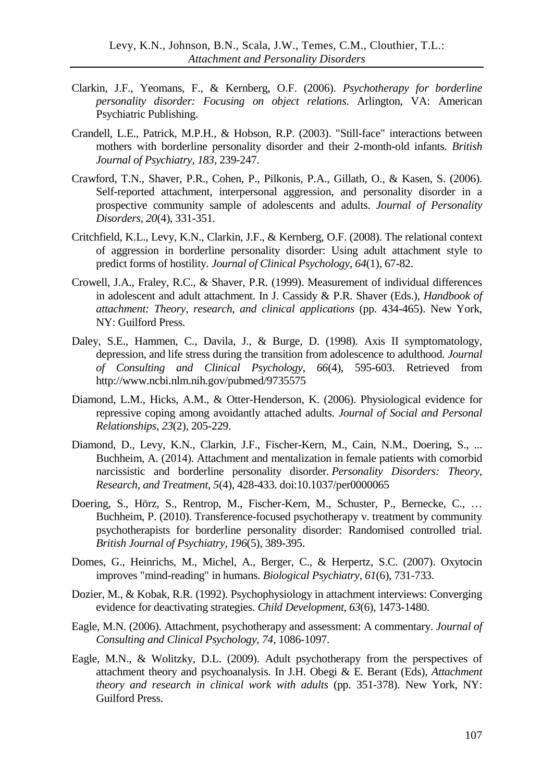- Clarkin, J.F., Yeomans, F., & Kernberg, O.F. (2006). *Psychotherapy for borderline personality disorder: Focusing on object relations*. Arlington, VA: American Psychiatric Publishing.
- Crandell, L.E., Patrick, M.P.H., & Hobson, R.P. (2003). "Still-face" interactions between mothers with borderline personality disorder and their 2-month-old infants*. British Journal of Psychiatry, 183,* 239-247.
- Crawford, T.N., Shaver, P.R., Cohen, P., Pilkonis, P.A., Gillath, O., & Kasen, S. (2006). Self-reported attachment, interpersonal aggression, and personality disorder in a prospective community sample of adolescents and adults. *Journal of Personality Disorders, 20*(4), 331-351.
- Critchfield, K.L., Levy, K.N., Clarkin, J.F., & Kernberg, O.F. (2008). The relational context of aggression in borderline personality disorder: Using adult attachment style to predict forms of hostility. *Journal of Clinical Psychology*, *64*(1), 67-82.
- Crowell, J.A., Fraley, R.C., & Shaver, P.R. (1999). Measurement of individual differences in adolescent and adult attachment. In J. Cassidy & P.R. Shaver (Eds.), *Handbook of attachment: Theory, research, and clinical applications* (pp. 434-465). New York, NY: Guilford Press.
- Daley, S.E., Hammen, C., Davila, J., & Burge, D. (1998). Axis II symptomatology, depression, and life stress during the transition from adolescence to adulthood. *Journal of Consulting and Clinical Psychology*, *66*(4), 595-603. Retrieved from http://www.ncbi.nlm.nih.gov/pubmed/9735575
- Diamond, L.M., Hicks, A.M., & Otter-Henderson, K. (2006). Physiological evidence for repressive coping among avoidantly attached adults. *Journal of Social and Personal Relationships*, *23*(2), 205-229.
- Diamond, D., Levy, K.N., Clarkin, J.F., Fischer-Kern, M., Cain, N.M., Doering, S., ... Buchheim, A. (2014). Attachment and mentalization in female patients with comorbid narcissistic and borderline personality disorder. *Personality Disorders: Theory, Research, and Treatment*, *5*(4), 428-433. doi:10.1037/per0000065
- Doering, S., Hörz, S., Rentrop, M., Fischer-Kern, M., Schuster, P., Bernecke, C., … Buchheim, P. (2010). Transference-focused psychotherapy v. treatment by community psychotherapists for borderline personality disorder: Randomised controlled trial. *British Journal of Psychiatry, 196*(5), 389-395.
- Domes, G., Heinrichs, M., Michel, A., Berger, C., & Herpertz, S.C. (2007). Oxytocin improves "mind-reading" in humans. *Biological Psychiatry*, *61*(6), 731-733.
- Dozier, M., & Kobak, R.R. (1992). Psychophysiology in attachment interviews: Converging evidence for deactivating strategies. *Child Development*, *63*(6), 1473-1480.
- Eagle, M.N. (2006). Attachment, psychotherapy and assessment: A commentary. *Journal of Consulting and Clinical Psychology, 74,* 1086-1097.
- Eagle, M.N., & Wolitzky, D.L. (2009). Adult psychotherapy from the perspectives of attachment theory and psychoanalysis. In J.H. Obegi & E. Berant (Eds), *Attachment theory and research in clinical work with adults* (pp. 351-378). New York, NY: Guilford Press.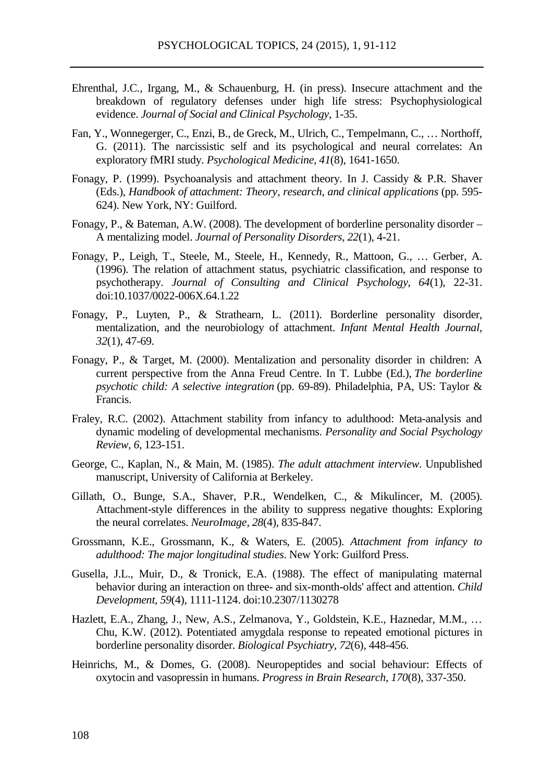- Ehrenthal, J.C., Irgang, M., & Schauenburg, H. (in press). Insecure attachment and the breakdown of regulatory defenses under high life stress: Psychophysiological evidence. *Journal of Social and Clinical Psychology*, 1-35.
- Fan, Y., Wonnegerger, C., Enzi, B., de Greck, M., Ulrich, C., Tempelmann, C., … Northoff, G. (2011). The narcissistic self and its psychological and neural correlates: An exploratory fMRI study. *Psychological Medicine, 41*(8), 1641-1650.
- Fonagy, P. (1999). Psychoanalysis and attachment theory. In J. Cassidy & P.R. Shaver (Eds.), *Handbook of attachment: Theory, research, and clinical applications* (pp. 595- 624). New York, NY: Guilford.
- Fonagy, P., & Bateman, A.W. (2008). The development of borderline personality disorder A mentalizing model. *Journal of Personality Disorders, 22*(1), 4-21.
- Fonagy, P., Leigh, T., Steele, M., Steele, H., Kennedy, R., Mattoon, G., … Gerber, A. (1996). The relation of attachment status, psychiatric classification, and response to psychotherapy. *Journal of Consulting and Clinical Psychology*, *64*(1), 22-31. doi:10.1037/0022-006X.64.1.22
- Fonagy, P., Luyten, P., & Strathearn, L. (2011). Borderline personality disorder, mentalization, and the neurobiology of attachment. *Infant Mental Health Journal, 32*(1), 47-69.
- Fonagy, P., & Target, M. (2000). Mentalization and personality disorder in children: A current perspective from the Anna Freud Centre. In T. Lubbe (Ed.), *The borderline psychotic child: A selective integration* (pp. 69-89). Philadelphia, PA, US: Taylor & Francis.
- Fraley, R.C. (2002). Attachment stability from infancy to adulthood: Meta-analysis and dynamic modeling of developmental mechanisms. *Personality and Social Psychology Review, 6,* 123-151.
- George, C., Kaplan, N., & Main, M. (1985). *The adult attachment interview*. Unpublished manuscript, University of California at Berkeley.
- Gillath, O., Bunge, S.A., Shaver, P.R., Wendelken, C., & Mikulincer, M. (2005). Attachment-style differences in the ability to suppress negative thoughts: Exploring the neural correlates. *NeuroImage, 28*(4), 835-847.
- Grossmann, K.E., Grossmann, K., & Waters, E. (2005). *Attachment from infancy to adulthood: The major longitudinal studies*. New York: Guilford Press.
- Gusella, J.L., Muir, D., & Tronick, E.A. (1988). The effect of manipulating maternal behavior during an interaction on three- and six-month-olds' affect and attention. *Child Development*, *59*(4), 1111-1124. doi:10.2307/1130278
- Hazlett, E.A., Zhang, J., New, A.S., Zelmanova, Y., Goldstein, K.E., Haznedar, M.M., … Chu, K.W. (2012). Potentiated amygdala response to repeated emotional pictures in borderline personality disorder. *Biological Psychiatry, 72*(6), 448-456.
- Heinrichs, M., & Domes, G. (2008). Neuropeptides and social behaviour: Effects of oxytocin and vasopressin in humans. *Progress in Brain Research*, *170*(8), 337-350.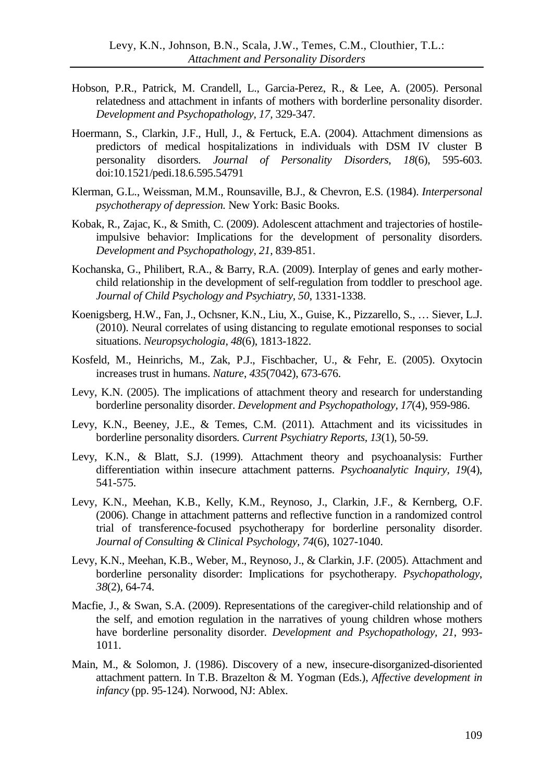- Hobson, P.R., Patrick, M. Crandell, L., Garcia-Perez, R., & Lee, A. (2005). Personal relatedness and attachment in infants of mothers with borderline personality disorder. *Development and Psychopathology, 17,* 329-347.
- Hoermann, S., Clarkin, J.F., Hull, J., & Fertuck, E.A. (2004). Attachment dimensions as predictors of medical hospitalizations in individuals with DSM IV cluster B personality disorders. *Journal of Personality Disorders*, *18*(6), 595-603. doi:10.1521/pedi.18.6.595.54791
- Klerman, G.L., Weissman, M.M., Rounsaville, B.J., & Chevron, E.S. (1984). *Interpersonal psychotherapy of depression.* New York: Basic Books.
- Kobak, R., Zajac, K., & Smith, C. (2009). Adolescent attachment and trajectories of hostileimpulsive behavior: Implications for the development of personality disorders. *Development and Psychopathology, 21*, 839-851.
- Kochanska, G., Philibert, R.A., & Barry, R.A. (2009). Interplay of genes and early motherchild relationship in the development of self-regulation from toddler to preschool age. *Journal of Child Psychology and Psychiatry, 50*, 1331-1338.
- Koenigsberg, H.W., Fan, J., Ochsner, K.N., Liu, X., Guise, K., Pizzarello, S., … Siever, L.J. (2010). Neural correlates of using distancing to regulate emotional responses to social situations. *Neuropsychologia, 48*(6), 1813-1822.
- Kosfeld, M., Heinrichs, M., Zak, P.J., Fischbacher, U., & Fehr, E. (2005). Oxytocin increases trust in humans. *Nature*, *435*(7042), 673-676.
- Levy, K.N. (2005). The implications of attachment theory and research for understanding borderline personality disorder. *Development and Psychopathology, 17*(4), 959-986.
- Levy, K.N., Beeney, J.E., & Temes, C.M. (2011). Attachment and its vicissitudes in borderline personality disorders. *Current Psychiatry Reports, 13*(1), 50-59.
- Levy, K.N., & Blatt, S.J. (1999). Attachment theory and psychoanalysis: Further differentiation within insecure attachment patterns. *Psychoanalytic Inquiry, 19*(4), 541-575.
- Levy, K.N., Meehan, K.B., Kelly, K.M., Reynoso, J., Clarkin, J.F., & Kernberg, O.F. (2006). Change in attachment patterns and reflective function in a randomized control trial of transference-focused psychotherapy for borderline personality disorder. *Journal of Consulting & Clinical Psychology, 74*(6), 1027-1040.
- Levy, K.N., Meehan, K.B., Weber, M., Reynoso, J., & Clarkin, J.F. (2005). Attachment and borderline personality disorder: Implications for psychotherapy. *Psychopathology*, *38*(2), 64-74.
- Macfie, J., & Swan, S.A. (2009). Representations of the caregiver-child relationship and of the self, and emotion regulation in the narratives of young children whose mothers have borderline personality disorder. *Development and Psychopathology, 21*, 993- 1011.
- Main, M., & Solomon, J. (1986). Discovery of a new, insecure-disorganized-disoriented attachment pattern. In T.B. Brazelton & M. Yogman (Eds.), *Affective development in infancy* (pp. 95-124). Norwood, NJ: Ablex.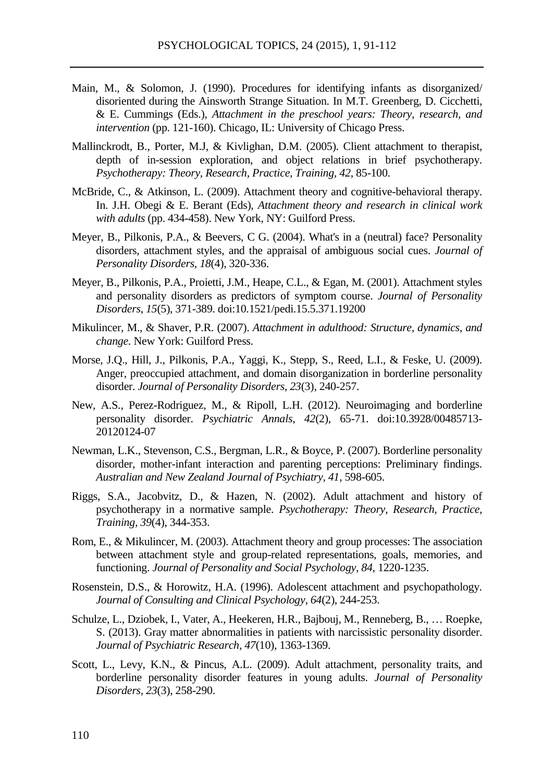- Main, M., & Solomon, J. (1990). Procedures for identifying infants as disorganized/ disoriented during the Ainsworth Strange Situation. In M.T. Greenberg, D. Cicchetti, & E. Cummings (Eds.), *Attachment in the preschool years: Theory, research, and intervention* (pp. 121-160). Chicago, IL: University of Chicago Press.
- Mallinckrodt, B., Porter, M.J, & Kivlighan, D.M. (2005). Client attachment to therapist, depth of in-session exploration, and object relations in brief psychotherapy. *Psychotherapy: Theory, Research, Practice, Training, 42*, 85-100.
- McBride, C., & Atkinson, L. (2009). Attachment theory and cognitive-behavioral therapy. In. J.H. Obegi & E. Berant (Eds), *Attachment theory and research in clinical work with adults* (pp. 434-458). New York, NY: Guilford Press.
- Meyer, B., Pilkonis, P.A., & Beevers, C G. (2004). What's in a (neutral) face? Personality disorders, attachment styles, and the appraisal of ambiguous social cues. *Journal of Personality Disorders*, *18*(4), 320-336.
- Meyer, B., Pilkonis, P.A., Proietti, J.M., Heape, C.L., & Egan, M. (2001). Attachment styles and personality disorders as predictors of symptom course. *Journal of Personality Disorders*, *15*(5), 371-389. doi:10.1521/pedi.15.5.371.19200
- Mikulincer, M., & Shaver, P.R. (2007). *Attachment in adulthood: Structure, dynamics, and change.* New York: Guilford Press.
- Morse, J.Q., Hill, J., Pilkonis, P.A., Yaggi, K., Stepp, S., Reed, L.I., & Feske, U. (2009). Anger, preoccupied attachment, and domain disorganization in borderline personality disorder. *Journal of Personality Disorders*, *23*(3), 240-257.
- New, A.S., Perez-Rodriguez, M., & Ripoll, L.H. (2012). Neuroimaging and borderline personality disorder. *Psychiatric Annals*, *42*(2), 65-71. doi:10.3928/00485713- 20120124-07
- Newman, L.K., Stevenson, C.S., Bergman, L.R., & Boyce, P. (2007). Borderline personality disorder, mother-infant interaction and parenting perceptions: Preliminary findings. *Australian and New Zealand Journal of Psychiatry, 41*, 598-605.
- Riggs, S.A., Jacobvitz, D., & Hazen, N. (2002). Adult attachment and history of psychotherapy in a normative sample. *Psychotherapy: Theory, Research, Practice, Training, 39*(4), 344-353.
- Rom, E., & Mikulincer, M. (2003). Attachment theory and group processes: The association between attachment style and group-related representations, goals, memories, and functioning. *Journal of Personality and Social Psychology, 84,* 1220-1235.
- Rosenstein, D.S., & Horowitz, H.A. (1996). Adolescent attachment and psychopathology. *Journal of Consulting and Clinical Psychology, 64*(2), 244-253.
- Schulze, L., Dziobek, I., Vater, A., Heekeren, H.R., Bajbouj, M., Renneberg, B., … Roepke, S. (2013). Gray matter abnormalities in patients with narcissistic personality disorder. *Journal of Psychiatric Research, 47*(10), 1363-1369.
- Scott, L., Levy, K.N., & Pincus, A.L. (2009). Adult attachment, personality traits, and borderline personality disorder features in young adults. *Journal of Personality Disorders, 23*(3), 258-290.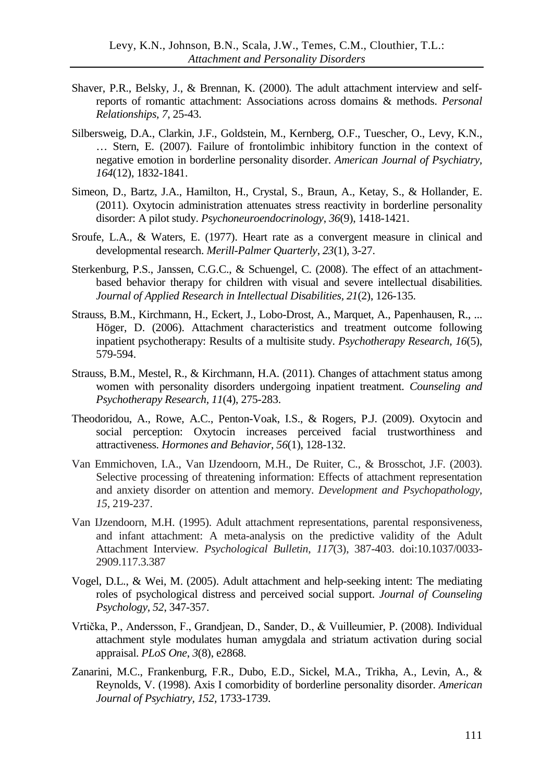- Shaver, P.R., Belsky, J., & Brennan, K. (2000). The adult attachment interview and selfreports of romantic attachment: Associations across domains & methods. *Personal Relationships, 7*, 25-43.
- Silbersweig, D.A., Clarkin, J.F., Goldstein, M., Kernberg, O.F., Tuescher, O., Levy, K.N., … Stern, E. (2007). Failure of frontolimbic inhibitory function in the context of negative emotion in borderline personality disorder. *American Journal of Psychiatry, 164*(12), 1832-1841.
- Simeon, D., Bartz, J.A., Hamilton, H., Crystal, S., Braun, A., Ketay, S., & Hollander, E. (2011). Oxytocin administration attenuates stress reactivity in borderline personality disorder: A pilot study. *Psychoneuroendocrinology*, *36*(9), 1418-1421.
- Sroufe, L.A., & Waters, E. (1977). Heart rate as a convergent measure in clinical and developmental research. *Merill-Palmer Quarterly*, *23*(1), 3-27.
- Sterkenburg, P.S., Janssen, C.G.C., & Schuengel, C. (2008). The effect of an attachmentbased behavior therapy for children with visual and severe intellectual disabilities. *Journal of Applied Research in Intellectual Disabilities, 21*(2), 126-135.
- Strauss, B.M., Kirchmann, H., Eckert, J., Lobo-Drost, A., Marquet, A., Papenhausen, R., ... Höger, D. (2006). Attachment characteristics and treatment outcome following inpatient psychotherapy: Results of a multisite study. *Psychotherapy Research, 16*(5), 579-594.
- Strauss, B.M., Mestel, R., & Kirchmann, H.A. (2011). Changes of attachment status among women with personality disorders undergoing inpatient treatment. *Counseling and Psychotherapy Research, 11*(4), 275-283.
- Theodoridou, A., Rowe, A.C., Penton-Voak, I.S., & Rogers, P.J. (2009). Oxytocin and social perception: Oxytocin increases perceived facial trustworthiness and attractiveness. *Hormones and Behavior*, *56*(1), 128-132.
- Van Emmichoven, I.A., Van IJzendoorn, M.H., De Ruiter, C., & Brosschot, J.F. (2003). Selective processing of threatening information: Effects of attachment representation and anxiety disorder on attention and memory. *Development and Psychopathology, 15,* 219-237.
- Van IJzendoorn, M.H. (1995). Adult attachment representations, parental responsiveness, and infant attachment: A meta-analysis on the predictive validity of the Adult Attachment Interview. *Psychological Bulletin*, *117*(3), 387-403. doi:10.1037/0033- 2909.117.3.387
- Vogel, D.L., & Wei, M. (2005). Adult attachment and help-seeking intent: The mediating roles of psychological distress and perceived social support. *Journal of Counseling Psychology, 52*, 347-357.
- Vrtička, P., Andersson, F., Grandjean, D., Sander, D., & Vuilleumier, P. (2008). Individual attachment style modulates human amygdala and striatum activation during social appraisal. *PLoS One*, *3*(8), e2868.
- Zanarini, M.C., Frankenburg, F.R., Dubo, E.D., Sickel, M.A., Trikha, A., Levin, A., & Reynolds, V. (1998). Axis I comorbidity of borderline personality disorder. *American Journal of Psychiatry, 152,* 1733-1739.